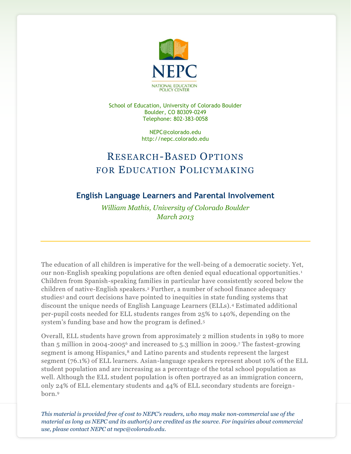

School of Education, University of Colorado Boulder Boulder, CO 80309-0249 Telephone: 802-383-0058

> NEPC@colorado.edu http://nepc.colorado.edu

# RESEARCH-BASED OPTIONS FOR EDUCATION POLICYMAKING

## **English Language Learners and Parental Involvement**

*William Mathis, University of Colorado Boulder March 2013*

The education of all children is imperative for the well-being of a democratic society. Yet, our non-English speaking populations are often denied equal educational opportunities. <sup>1</sup> Children from Spanish-speaking families in particular have consistently scored below the children of native-English speakers.<sup>2</sup> Further, a number of school finance adequacy studies<sup>3</sup> and court decisions have pointed to inequities in state funding systems that discount the unique needs of English Language Learners (ELLs).<sup>4</sup> Estimated additional per-pupil costs needed for ELL students ranges from 25% to 140%, depending on the system's funding base and how the program is defined.<sup>5</sup>

Overall, ELL students have grown from approximately 2 million students in 1989 to more than 5 million in 2004-2005<sup>6</sup> and increased to 5.3 million in 2009. The fastest-growing segment is among Hispanics,<sup>8</sup> and Latino parents and students represent the largest segment (76.1%) of ELL learners. Asian-language speakers represent about 10% of the ELL student population and are increasing as a percentage of the total school population as well. Although the ELL student population is often portrayed as an immigration concern, only 24% of ELL elementary students and 44% of ELL secondary students are foreignborn.9

*This material is provided free of cost to NEPC's readers, who may make non-commercial use of the material as long as NEPC and its author(s) are credited as the source. For inquiries about commercial use, please contact NEPC at nepc@colorado.edu.*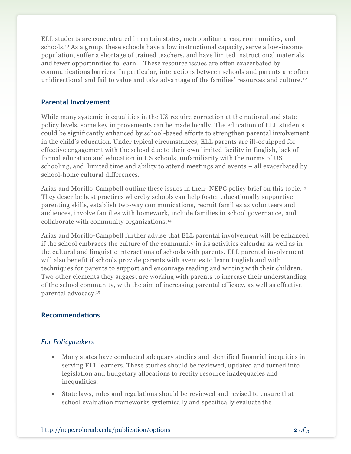ELL students are concentrated in certain states, metropolitan areas, communities, and schools.<sup>10</sup> As a group, these schools have a low instructional capacity, serve a low-income population, suffer a shortage of trained teachers, and have limited instructional materials and fewer opportunities to learn.<sup>11</sup> These resource issues are often exacerbated by communications barriers. In particular, interactions between schools and parents are often unidirectional and fail to value and take advantage of the families' resources and culture. <sup>12</sup>

#### **Parental Involvement**

While many systemic inequalities in the US require correction at the national and state policy levels, some key improvements can be made locally. The education of ELL students could be significantly enhanced by school-based efforts to strengthen parental involvement in the child's education. Under typical circumstances, ELL parents are ill-equipped for effective engagement with the school due to their own limited facility in English, lack of formal education and education in US schools, unfamiliarity with the norms of US schooling, and limited time and ability to attend meetings and events – all exacerbated by school-home cultural differences.

Arias and Morillo-Campbell outline these issues in their NEPC policy brief on this topic. <sup>13</sup> They describe best practices whereby schools can help foster educationally supportive parenting skills, establish two-way communications, recruit families as volunteers and audiences, involve families with homework, include families in school governance, and collaborate with community organizations.<sup>14</sup>

Arias and Morillo-Campbell further advise that ELL parental involvement will be enhanced if the school embraces the culture of the community in its activities calendar as well as in the cultural and linguistic interactions of schools with parents. ELL parental involvement will also benefit if schools provide parents with avenues to learn English and with techniques for parents to support and encourage reading and writing with their children. Two other elements they suggest are working with parents to increase their understanding of the school community, with the aim of increasing parental efficacy, as well as effective parental advocacy.<sup>15</sup>

#### **Recommendations**

### *For Policymakers*

- Many states have conducted adequacy studies and identified financial inequities in serving ELL learners. These studies should be reviewed, updated and turned into legislation and budgetary allocations to rectify resource inadequacies and inequalities.
- State laws, rules and regulations should be reviewed and revised to ensure that school evaluation frameworks systemically and specifically evaluate the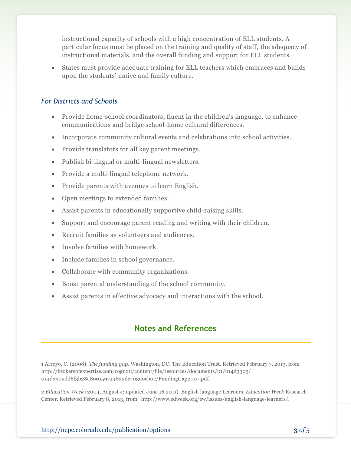instructional capacity of schools with a high concentration of ELL students. A particular focus must be placed on the training and quality of staff, the adequacy of instructional materials, and the overall funding and support for ELL students.

 States must provide adequate training for ELL teachers which embraces and builds upon the students' native and family culture.

#### *For Districts and Schools*

- Provide home-school coordinators, fluent in the children's language, to enhance communications and bridge school-home cultural differences.
- Incorporate community cultural events and celebrations into school activities.
- Provide translators for all key parent meetings.
- Publish bi-lingual or multi-lingual newsletters.
- Provide a multi-lingual telephone network.
- Provide parents with avenues to learn English.
- Open meetings to extended families.
- Assist parents in educationally supportive child-raising skills.
- Support and encourage parent reading and writing with their children.
- Recruit families as volunteers and audiences.
- Involve families with homework.
- Include families in school governance.
- Collaborate with community organizations.
- Boost parental understanding of the school community.
- Assist parents in effective advocacy and interactions with the school.

## **Notes and References**

1 Arroyo, C. (2008). *The funding gap.* Washington, DC: The Education Trust. Retrieved February 7, 2013, from http://brokersofexpertise.com/cognoti/content/file/resources/documents/01/014d3305/ 014d3305dd6f3b28a890159744832dc703d9cb0e/FundingGap2007.pdf.

2 *Education Week* (2004, August 4; updated June 16,2011). English language Learners. *Education Week* Research Center. Retrieved February 8, 2013, from http://www.edweek.org/ew/issues/english-language-learners/.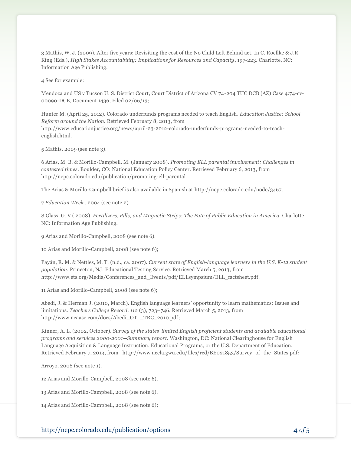3 Mathis, W. J. (2009). After five years: Revisiting the cost of the No Child Left Behind act. In C. Roellke & J.R. King (Eds.), *High Stakes Accountability: Implications for Resources and Capacity*, 197-223. Charlotte, NC: Information Age Publishing.

4 See for example:

Mendoza and US v Tucson U. S. District Court, Court District of Arizona CV 74-204 TUC DCB (AZ) Case 4:74-cv-00090-DCB, Document 1436, Filed 02/06/13;

Hunter M. (April 25, 2012). Colorado underfunds programs needed to teach English. *Education Justice: School Reform around the Nation.* Retrieved February 8, 2013, from http://www.educationjustice.org/news/april-23-2012-colorado-underfunds-programs-needed-to-teachenglish.html.

5 Mathis, 2009 (see note 3).

6 Arias, M. B. & Morillo-Campbell, M. (January 2008). *Promoting ELL parental involvement: Challenges in contested times.* Boulder, CO: National Education Policy Center. Retrieved February 6, 2013, from http://nepc.colorado.edu/publication/promoting-ell-parental.

The Arias & Morillo-Campbell brief is also available in Spanish at http://nepc.colorado.edu/node/3467.

7 *Education Week* , 2004 (see note 2).

8 Glass, G. V ( 2008). *Fertilizers, Pills, and Magnetic Strips: The Fate of Public Education in America.* Charlotte, NC: Information Age Publishing.

9 Arias and Morillo-Campbell, 2008 (see note 6).

10 Arias and Morillo-Campbell, 2008 (see note 6);

Payán, R. M. & Nettles, M. T. (n.d., ca. 2007). *Current state of English-language learners in the U.S. K-12 student population.* Princeton, NJ: Educational Testing Service. Retrieved March 5, 2013, from http://www.ets.org/Media/Conferences\_and\_Events/pdf/ELLsympsium/ELL\_factsheet.pdf.

11 Arias and Morillo-Campbell, 2008 (see note 6);

Abedi, J. & Herman J. (2010, March). English language learners' opportunity to learn mathematics: Issues and limitations. *Teachers College Record. 112* (3), 723–746. Retrieved March 5, 2013, from http://www.ncaase.com/docs/Abedi\_OTL\_TRC\_2010.pdf;

Kinner, A. L. (2002, October). *Survey of the states' limited English proficient students and available educational programs and services 2000-2001--Summary report*. Washington, DC: National Clearinghouse for English Language Acquisition & Language Instruction. Educational Programs, or the U.S. Department of Education. Retrieved February 7, 2013, from http://www.ncela.gwu.edu/files/rcd/BE021853/Survey\_of\_the\_States.pdf;

Arroyo, 2008 (see note 1).

12 Arias and Morillo-Campbell, 2008 (see note 6).

13 Arias and Morillo-Campbell, 2008 (see note 6).

14 Arias and Morillo-Campbell, 2008 (see note 6);